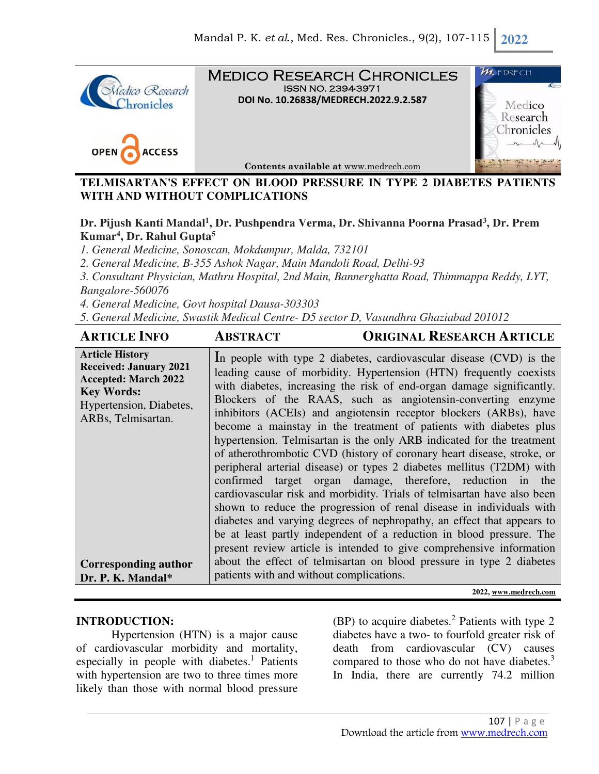

Medico Research Chronicles ISSN NO. 2394-3971 **DOI No. 10.26838/MEDRECH.2022.9.2.587**



 $\boldsymbol{\mathcal{H}}$  edrech Medico Research hronicles

**Contents available at** www.medrech.com

## **TELMISARTAN'S EFFECT ON BLOOD PRESSURE IN TYPE 2 DIABETES PATIENTS WITH AND WITHOUT COMPLICATIONS**

# **Dr. Pijush Kanti Mandal<sup>1</sup> , Dr. Pushpendra Verma, Dr. Shivanna Poorna Prasad<sup>3</sup> , Dr. Prem Kumar<sup>4</sup> , Dr. Rahul Gupta<sup>5</sup>**

*1. General Medicine, Sonoscan, Mokdumpur, Malda, 732101* 

*2. General Medicine, B-355 Ashok Nagar, Main Mandoli Road, Delhi-93* 

*3. Consultant Physician, Mathru Hospital, 2nd Main, Bannerghatta Road, Thimmappa Reddy, LYT, Bangalore-560076* 

*4. General Medicine, Govt hospital Dausa-303303* 

*5. General Medicine, Swastik Medical Centre- D5 sector D, Vasundhra Ghaziabad 201012*

| <b>ARTICLE INFO</b>                                                                                                                                          | <b>ABSTRACT</b>                          | <b>ORIGINAL RESEARCH ARTICLE</b>                                                                                                                                                                                                                                                                                                                                                                                                                                                                                                                                                                                                                                                                                                                                                                                                                                                                                                                                                                                                                                                                   |
|--------------------------------------------------------------------------------------------------------------------------------------------------------------|------------------------------------------|----------------------------------------------------------------------------------------------------------------------------------------------------------------------------------------------------------------------------------------------------------------------------------------------------------------------------------------------------------------------------------------------------------------------------------------------------------------------------------------------------------------------------------------------------------------------------------------------------------------------------------------------------------------------------------------------------------------------------------------------------------------------------------------------------------------------------------------------------------------------------------------------------------------------------------------------------------------------------------------------------------------------------------------------------------------------------------------------------|
| <b>Article History</b><br><b>Received: January 2021</b><br><b>Accepted: March 2022</b><br><b>Key Words:</b><br>Hypertension, Diabetes,<br>ARBs, Telmisartan. |                                          | In people with type 2 diabetes, cardiovascular disease (CVD) is the<br>leading cause of morbidity. Hypertension (HTN) frequently coexists<br>with diabetes, increasing the risk of end-organ damage significantly.<br>Blockers of the RAAS, such as angiotensin-converting enzyme<br>inhibitors (ACEIs) and angiotensin receptor blockers (ARBs), have<br>become a mainstay in the treatment of patients with diabetes plus<br>hypertension. Telmisartan is the only ARB indicated for the treatment<br>of atherothrombotic CVD (history of coronary heart disease, stroke, or<br>peripheral arterial disease) or types 2 diabetes mellitus (T2DM) with<br>confirmed target organ damage, therefore, reduction in the<br>cardiovascular risk and morbidity. Trials of telmisartan have also been<br>shown to reduce the progression of renal disease in individuals with<br>diabetes and varying degrees of nephropathy, an effect that appears to<br>be at least partly independent of a reduction in blood pressure. The<br>present review article is intended to give comprehensive information |
| Corresponding author<br>Dr. P. K. Mandal*                                                                                                                    | patients with and without complications. | about the effect of telmisartan on blood pressure in type 2 diabetes                                                                                                                                                                                                                                                                                                                                                                                                                                                                                                                                                                                                                                                                                                                                                                                                                                                                                                                                                                                                                               |

**2022, www.medrech.com** 

### **INTRODUCTION:**

Hypertension (HTN) is a major cause of cardiovascular morbidity and mortality, especially in people with diabetes.<sup>1</sup> Patients with hypertension are two to three times more likely than those with normal blood pressure

 $(BP)$  to acquire diabetes.<sup>2</sup> Patients with type 2 diabetes have a two- to fourfold greater risk of death from cardiovascular (CV) causes compared to those who do not have diabetes.<sup>3</sup> In India, there are currently 74.2 million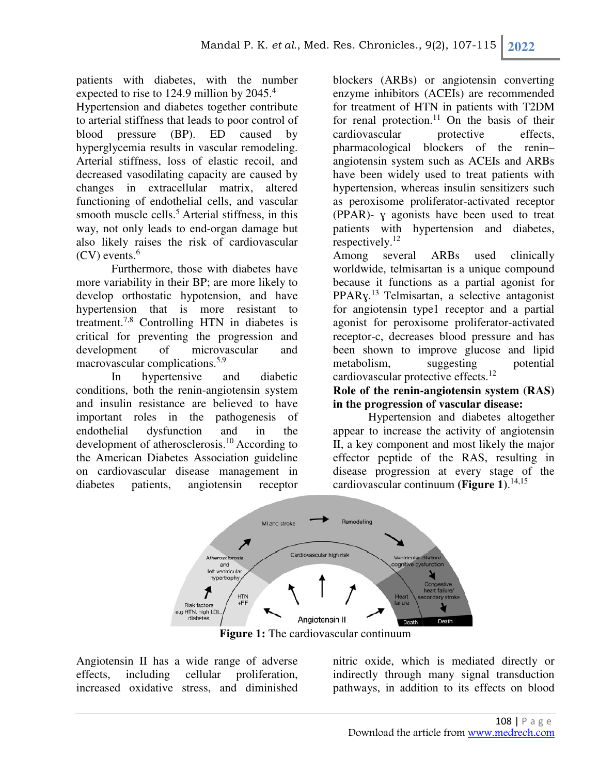patients with diabetes, with the number expected to rise to 124.9 million by 2045.<sup>4</sup>

Hypertension and diabetes together contribute to arterial stiffness that leads to poor control of blood pressure (BP). ED caused by hyperglycemia results in vascular remodeling. Arterial stiffness, loss of elastic recoil, and decreased vasodilating capacity are caused by changes in extracellular matrix, altered functioning of endothelial cells, and vascular smooth muscle cells.<sup>5</sup> Arterial stiffness, in this way, not only leads to end-organ damage but also likely raises the risk of cardiovascular  $(CV)$  events.<sup>6</sup>

Furthermore, those with diabetes have more variability in their BP; are more likely to develop orthostatic hypotension, and have hypertension that is more resistant to treatment.7,8 Controlling HTN in diabetes is critical for preventing the progression and development of microvascular and macrovascular complications.5,9

In hypertensive and diabetic conditions, both the renin-angiotensin system and insulin resistance are believed to have important roles in the pathogenesis of endothelial dysfunction and in the development of atherosclerosis.<sup>10</sup> According to the American Diabetes Association guideline on cardiovascular disease management in diabetes patients, angiotensin receptor

blockers (ARBs) or angiotensin converting enzyme inhibitors (ACEIs) are recommended for treatment of HTN in patients with T2DM for renal protection.<sup>11</sup> On the basis of their cardiovascular protective effects, pharmacological blockers of the renin– angiotensin system such as ACEIs and ARBs have been widely used to treat patients with hypertension, whereas insulin sensitizers such as peroxisome proliferator-activated receptor (PPAR)- ɣ agonists have been used to treat patients with hypertension and diabetes, respectively.<sup>12</sup>

Among several ARBs used clinically worldwide, telmisartan is a unique compound because it functions as a partial agonist for PPARy.<sup>13</sup> Telmisartan, a selective antagonist for angiotensin type1 receptor and a partial agonist for peroxisome proliferator-activated receptor-c, decreases blood pressure and has been shown to improve glucose and lipid metabolism, suggesting potential cardiovascular protective effects.<sup>12</sup>

#### **Role of the renin-angiotensin system (RAS) in the progression of vascular disease:**

Hypertension and diabetes altogether appear to increase the activity of angiotensin II, a key component and most likely the major effector peptide of the RAS, resulting in disease progression at every stage of the cardiovascular continuum **(Figure 1)**. 14,15



**Figure 1:** The cardiovascular continuum

Angiotensin II has a wide range of adverse effects, including cellular proliferation, increased oxidative stress, and diminished nitric oxide, which is mediated directly or indirectly through many signal transduction pathways, in addition to its effects on blood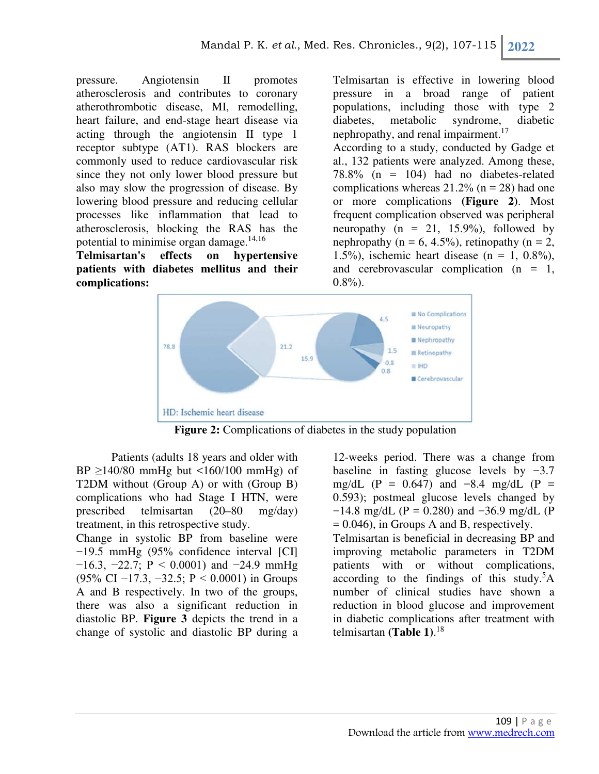pressure. Angiotensin II promotes atherosclerosis and contributes to coronary atherothrombotic disease, MI, remodelling, heart failure, and end-stage heart disease via acting through the angiotensin II type 1 receptor subtype (AT1). RAS blockers are commonly used to reduce cardiovascular risk since they not only lower blood pressure but also may slow the progression of disease. By lowering blood pressure and reducing cellular processes like inflammation that lead to atherosclerosis, blocking the RAS has the potential to minimise organ damage. $14,16$ 

**Telmisartan's effects on hypertensive patients with diabetes mellitus and their complications:** 

Telmisartan is effective in lowering blood pressure in a broad range of patient populations, including those with type 2 diabetes, metabolic syndrome, diabetic nephropathy, and renal impairment. $17$ 

According to a study, conducted by Gadge et al., 132 patients were analyzed. Among these, 78.8% (n = 104) had no diabetes-related complications whereas  $21.2\%$  (n = 28) had one or more complications **(Figure 2)**. Most frequent complication observed was peripheral neuropathy ( $n = 21$ , 15.9%), followed by nephropathy ( $n = 6, 4.5\%$ ), retinopathy ( $n = 2$ , 1.5%), ischemic heart disease (n = 1,  $0.8\%$ ), and cerebrovascular complication  $(n = 1,$  $0.8\%$ ).



**Figure 2:** Complications of diabetes in the study population

Patients (adults 18 years and older with BP  $\geq$ 140/80 mmHg but <160/100 mmHg) of T2DM without (Group A) or with (Group B) complications who had Stage I HTN, were prescribed telmisartan (20–80 mg/day) treatment, in this retrospective study.

Change in systolic BP from baseline were −19.5 mmHg (95% confidence interval [CI]  $-16.3, -22.7; P < 0.0001$  and  $-24.9$  mmHg (95% CI −17.3, −32.5; P < 0.0001) in Groups A and B respectively. In two of the groups, there was also a significant reduction in diastolic BP. **Figure 3** depicts the trend in a change of systolic and diastolic BP during a

12-weeks period. There was a change from baseline in fasting glucose levels by −3.7 mg/dL (P = 0.647) and  $-8.4$  mg/dL (P = 0.593); postmeal glucose levels changed by  $-14.8 \text{ mg/dL}$  (P = 0.280) and  $-36.9 \text{ mg/dL}$  (P  $= 0.046$ ), in Groups A and B, respectively.

Telmisartan is beneficial in decreasing BP and improving metabolic parameters in T2DM patients with or without complications, according to the findings of this study.<sup>5</sup>A number of clinical studies have shown a reduction in blood glucose and improvement in diabetic complications after treatment with telmisartan **(Table 1)**. 18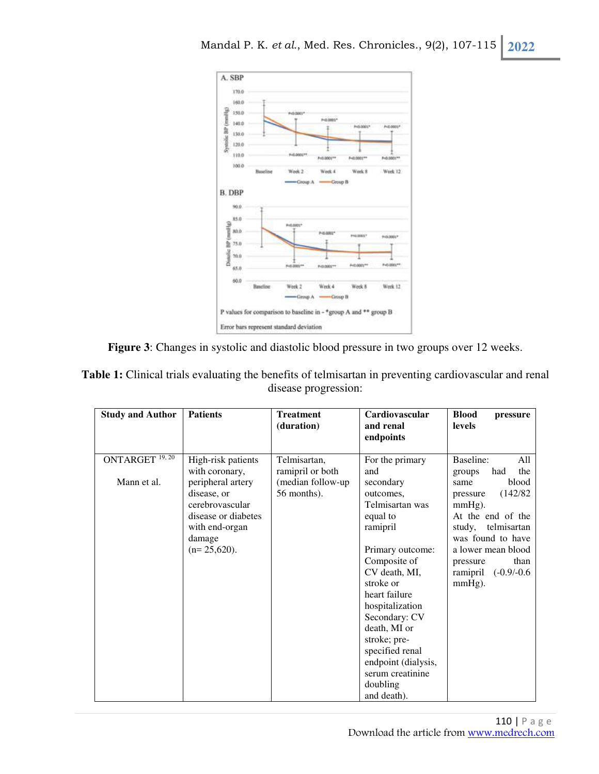



| Table 1: Clinical trials evaluating the benefits of telmisartan in preventing cardiovascular and renal |  |
|--------------------------------------------------------------------------------------------------------|--|
| disease progression:                                                                                   |  |

| <b>Study and Author</b>    | <b>Patients</b>                                                                                                          | <b>Treatment</b><br>(duration)   | Cardiovascular<br>and renal<br>endpoints                                                                                                                                                                                                                                                                          | <b>Blood</b><br>pressure<br><b>levels</b>                                                                                                                                                              |
|----------------------------|--------------------------------------------------------------------------------------------------------------------------|----------------------------------|-------------------------------------------------------------------------------------------------------------------------------------------------------------------------------------------------------------------------------------------------------------------------------------------------------------------|--------------------------------------------------------------------------------------------------------------------------------------------------------------------------------------------------------|
| ONTARGET <sup>19, 20</sup> | High-risk patients<br>with coronary,                                                                                     | Telmisartan,<br>ramipril or both | For the primary<br>and                                                                                                                                                                                                                                                                                            | Baseline:<br>A11<br>the<br>had<br>groups                                                                                                                                                               |
| Mann et al.                | peripheral artery<br>disease, or<br>cerebrovascular<br>disease or diabetes<br>with end-organ<br>damage<br>$(n=25,620)$ . | (median follow-up<br>56 months). | secondary<br>outcomes,<br>Telmisartan was<br>equal to<br>ramipril<br>Primary outcome:<br>Composite of<br>CV death, MI,<br>stroke or<br>heart failure<br>hospitalization<br>Secondary: CV<br>death, MI or<br>stroke; pre-<br>specified renal<br>endpoint (dialysis,<br>serum creatinine<br>doubling<br>and death). | blood<br>same<br>(142/82)<br>pressure<br>$mmHg$ ).<br>At the end of the<br>telmisartan<br>study,<br>was found to have<br>a lower mean blood<br>than<br>pressure<br>ramipril $(-0.9/-0.6)$<br>$mmHg$ ). |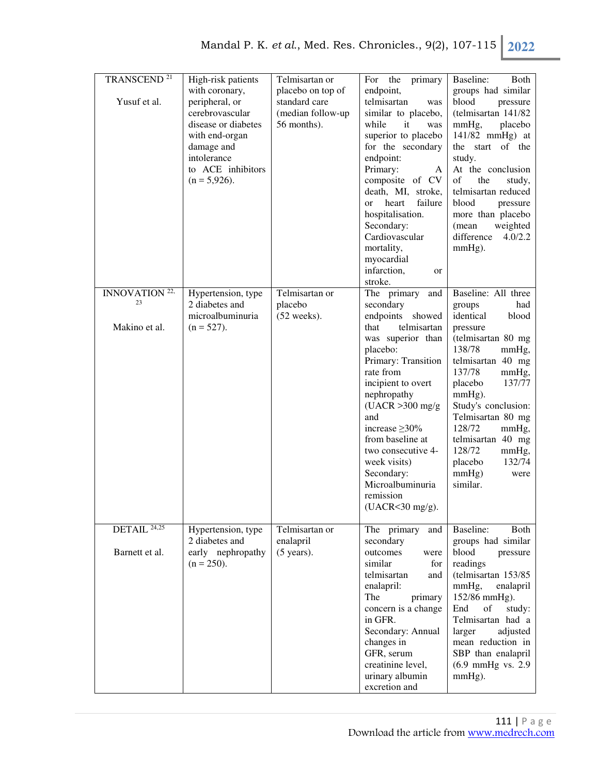| TRANSCEND <sup>21</sup>         | High-risk patients                 | Telmisartan or           | For the primary                        | Baseline:<br>Both             |
|---------------------------------|------------------------------------|--------------------------|----------------------------------------|-------------------------------|
|                                 | with coronary,                     | placebo on top of        | endpoint,                              | groups had similar            |
| Yusuf et al.                    | peripheral, or                     | standard care            | telmisartan<br>was                     | blood<br>pressure             |
|                                 | cerebrovascular                    | (median follow-up        | similar to placebo,                    | (telmisartan 141/82           |
|                                 | disease or diabetes                | 56 months).              | while<br>it<br>was                     | mmHg,<br>placebo              |
|                                 | with end-organ                     |                          | superior to placebo                    | 141/82 mmHg) at               |
|                                 | damage and                         |                          | for the secondary                      | the start of the              |
|                                 | intolerance                        |                          | endpoint:                              | study.                        |
|                                 | to ACE inhibitors                  |                          | Primary:<br>A                          | At the conclusion             |
|                                 | $(n = 5,926)$ .                    |                          | composite of CV                        | of<br>the<br>study,           |
|                                 |                                    |                          | death, MI, stroke,                     | telmisartan reduced           |
|                                 |                                    |                          | failure<br>heart<br><sub>or</sub>      | blood<br>pressure             |
|                                 |                                    |                          | hospitalisation.                       | more than placebo             |
|                                 |                                    |                          | Secondary:                             | weighted<br>(mean             |
|                                 |                                    |                          | Cardiovascular                         | difference<br>4.0/2.2         |
|                                 |                                    |                          | mortality,                             |                               |
|                                 |                                    |                          |                                        | $mmHg$ ).                     |
|                                 |                                    |                          | myocardial<br>infarction,              |                               |
|                                 |                                    |                          | or                                     |                               |
|                                 |                                    |                          | stroke.                                | Baseline: All three           |
| INNOVATION <sup>22,</sup><br>23 | Hypertension, type                 | Telmisartan or           | The primary<br>and                     |                               |
|                                 | 2 diabetes and<br>microalbuminuria | placebo<br>$(52$ weeks). | secondary                              | had<br>groups<br>identical    |
|                                 |                                    |                          | endpoints showed<br>telmisartan        | blood                         |
| Makino et al.                   | $(n = 527)$ .                      |                          | that                                   | pressure                      |
|                                 |                                    |                          | was superior than                      | (telmisartan 80 mg            |
|                                 |                                    |                          | placebo:                               | 138/78<br>mmHg,               |
|                                 |                                    |                          | Primary: Transition                    | telmisartan 40 mg             |
|                                 |                                    |                          | rate from                              | 137/78<br>mmHg,               |
|                                 |                                    |                          | incipient to overt                     | placebo<br>137/77             |
|                                 |                                    |                          | nephropathy                            | $mmHg$ ).                     |
|                                 |                                    |                          | $(UACR > 300$ mg/g                     | Study's conclusion:           |
|                                 |                                    |                          | and                                    | Telmisartan 80 mg             |
|                                 |                                    |                          | increase $\geq$ 30%                    | 128/72<br>mmHg,               |
|                                 |                                    |                          | from baseline at<br>two consecutive 4- | telmisartan 40 mg<br>128/72   |
|                                 |                                    |                          |                                        | mmHg,                         |
|                                 |                                    |                          | week visits)                           | placebo<br>132/74             |
|                                 |                                    |                          | Secondary:                             | mmHg)<br>were                 |
|                                 |                                    |                          | Microalbuminuria                       | similar.                      |
|                                 |                                    |                          | remission                              |                               |
|                                 |                                    |                          | (UACR<30 mg/g).                        |                               |
| $DETAIL^{\overline{24,25}}$     | Hypertension, type                 | Telmisartan or           | The primary<br>and                     | Baseline:<br>Both             |
|                                 | 2 diabetes and                     | enalapril                | secondary                              | groups had similar            |
| Barnett et al.                  | early nephropathy                  | $(5 \text{ years})$ .    | outcomes<br>were                       | blood<br>pressure             |
|                                 | $(n = 250)$ .                      |                          | similar<br>for                         | readings                      |
|                                 |                                    |                          | telmisartan<br>and                     | (telmisartan 153/85           |
|                                 |                                    |                          | enalapril:                             | mmHg,<br>enalapril            |
|                                 |                                    |                          | The<br>primary                         | 152/86 mmHg).                 |
|                                 |                                    |                          | concern is a change                    | End<br>of<br>study:           |
|                                 |                                    |                          | in GFR.                                | Telmisartan had a             |
|                                 |                                    |                          | Secondary: Annual                      | adjusted<br>larger            |
|                                 |                                    |                          | changes in                             | mean reduction in             |
|                                 |                                    |                          | GFR, serum                             | SBP than enalapril            |
|                                 |                                    |                          | creatinine level,                      | $(6.9 \text{ mmHg vs. } 2.9)$ |
|                                 |                                    |                          | urinary albumin                        | $mmHg$ ).                     |
|                                 |                                    |                          | excretion and                          |                               |
|                                 |                                    |                          |                                        |                               |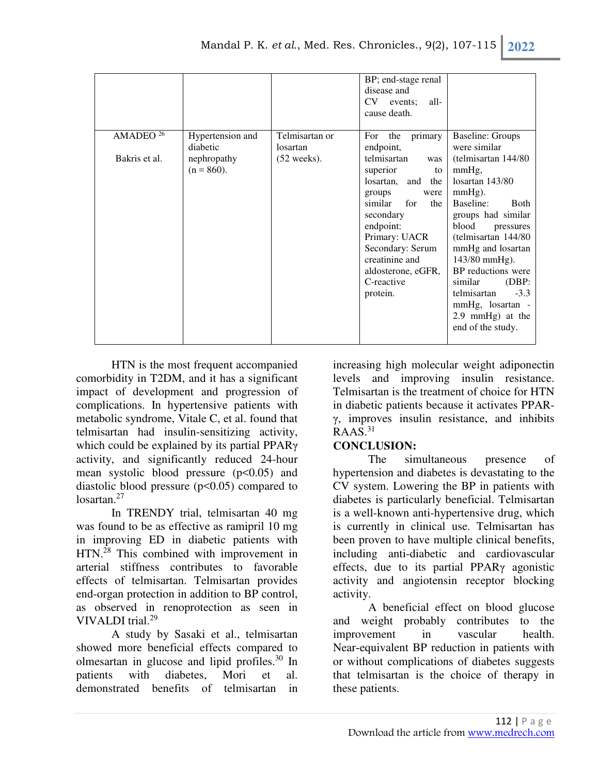|                                       |                                                              |                                                     | BP; end-stage renal<br>disease and<br>CV events;<br>all-<br>cause death.                            |                                                                                                                                |
|---------------------------------------|--------------------------------------------------------------|-----------------------------------------------------|-----------------------------------------------------------------------------------------------------|--------------------------------------------------------------------------------------------------------------------------------|
| AMADEO <sup>26</sup><br>Bakris et al. | Hypertension and<br>diabetic<br>nephropathy<br>$(n = 860)$ . | Telmisartan or<br>losartan<br>$(52 \text{ weeks}).$ | For<br>the<br>primary<br>endpoint,<br>telmisartan<br>was<br>superior<br>to<br>losartan, and<br>the  | <b>Baseline: Groups</b><br>were similar<br>(telmisartan 144/80)<br>mmHg,<br>losartan 143/80                                    |
|                                       |                                                              |                                                     | groups<br>were<br>similar for<br>the<br>secondary<br>endpoint:<br>Primary: UACR<br>Secondary: Serum | $mmHg$ ).<br>Baseline:<br><b>B</b> oth<br>groups had similar<br>blood<br>pressures<br>(telmisartan 144/80<br>mmHg and losartan |
|                                       |                                                              |                                                     | creatinine and<br>aldosterone, eGFR,<br>C-reactive<br>protein.                                      | 143/80 mmHg).<br>BP reductions were<br>similar<br>(DBP)<br>$-3.3$<br>telmisartan<br>mmHg, losartan -<br>2.9 mmHg) at the       |
|                                       |                                                              |                                                     |                                                                                                     | end of the study.                                                                                                              |

HTN is the most frequent accompanied comorbidity in T2DM, and it has a significant impact of development and progression of complications. In hypertensive patients with metabolic syndrome, Vitale C, et al. found that telmisartan had insulin-sensitizing activity, which could be explained by its partial PPARγ activity, and significantly reduced 24-hour mean systolic blood pressure (p<0.05) and diastolic blood pressure  $(p<0.05)$  compared to losartan.<sup>27</sup>

In TRENDY trial, telmisartan 40 mg was found to be as effective as ramipril 10 mg in improving ED in diabetic patients with HTN.<sup>28</sup> This combined with improvement in arterial stiffness contributes to favorable effects of telmisartan. Telmisartan provides end-organ protection in addition to BP control, as observed in renoprotection as seen in VIVALDI trial.<sup>29</sup>

A study by Sasaki et al., telmisartan showed more beneficial effects compared to olmesartan in glucose and lipid profiles. $30 \text{ In}$ patients with diabetes, Mori et al. demonstrated benefits of telmisartan in

increasing high molecular weight adiponectin levels and improving insulin resistance. Telmisartan is the treatment of choice for HTN in diabetic patients because it activates PPARγ, improves insulin resistance, and inhibits  $RAAS.<sup>31</sup>$ 

### **CONCLUSION:**

The simultaneous presence of hypertension and diabetes is devastating to the CV system. Lowering the BP in patients with diabetes is particularly beneficial. Telmisartan is a well-known anti-hypertensive drug, which is currently in clinical use. Telmisartan has been proven to have multiple clinical benefits, including anti-diabetic and cardiovascular effects, due to its partial PPARγ agonistic activity and angiotensin receptor blocking activity.

A beneficial effect on blood glucose and weight probably contributes to the improvement in vascular health. Near-equivalent BP reduction in patients with or without complications of diabetes suggests that telmisartan is the choice of therapy in these patients.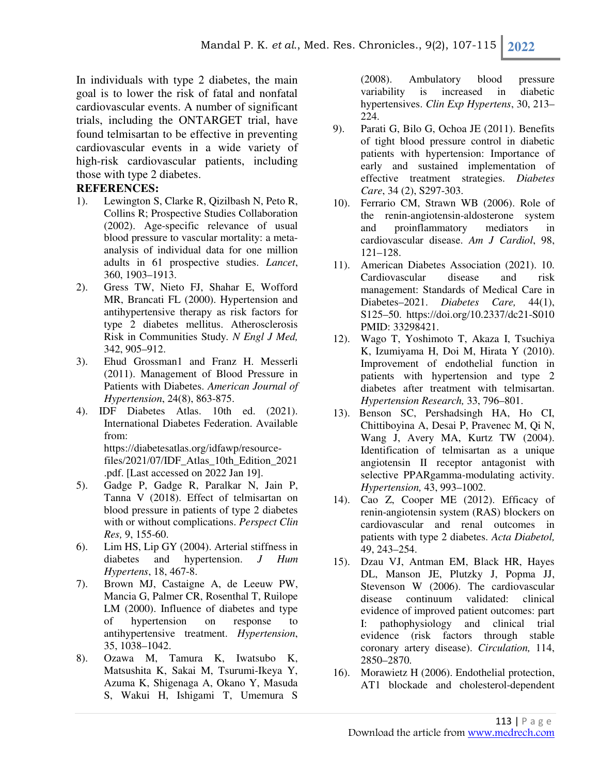In individuals with type 2 diabetes, the main goal is to lower the risk of fatal and nonfatal cardiovascular events. A number of significant trials, including the ONTARGET trial, have found telmisartan to be effective in preventing cardiovascular events in a wide variety of high-risk cardiovascular patients, including those with type 2 diabetes.

### **REFERENCES:**

- 1). Lewington S, Clarke R, Qizilbash N, Peto R, Collins R; Prospective Studies Collaboration (2002). Age-specific relevance of usual blood pressure to vascular mortality: a metaanalysis of individual data for one million adults in 61 prospective studies. *Lancet*, 360, 1903–1913.
- 2). Gress TW, Nieto FJ, Shahar E, Wofford MR, Brancati FL (2000). Hypertension and antihypertensive therapy as risk factors for type 2 diabetes mellitus. Atherosclerosis Risk in Communities Study*. N Engl J Med,* 342, 905–912.
- 3). Ehud Grossman1 and Franz H. Messerli (2011). Management of Blood Pressure in Patients with Diabetes. *American Journal of Hypertension*, 24(8), 863-875.
- 4). IDF Diabetes Atlas. 10th ed. (2021). International Diabetes Federation. Available from: https://diabetesatlas.org/idfawp/resourcefiles/2021/07/IDF\_Atlas\_10th\_Edition\_2021

.pdf. [Last accessed on 2022 Jan 19].

- 5). Gadge P, Gadge R, Paralkar N, Jain P, Tanna V (2018). Effect of telmisartan on blood pressure in patients of type 2 diabetes with or without complications. *Perspect Clin Res,* 9, 155-60.
- 6). Lim HS, Lip GY (2004). Arterial stiffness in diabetes and hypertension. *J Hum Hypertens*, 18, 467-8.
- 7). Brown MJ, Castaigne A, de Leeuw PW, Mancia G, Palmer CR, Rosenthal T, Ruilope LM (2000). Influence of diabetes and type of hypertension on response to antihypertensive treatment. *Hypertension*, 35, 1038–1042.
- 8). Ozawa M, Tamura K, Iwatsubo K, Matsushita K, Sakai M, Tsurumi-Ikeya Y, Azuma K, Shigenaga A, Okano Y, Masuda S, Wakui H, Ishigami T, Umemura S

(2008). Ambulatory blood pressure variability is increased in diabetic hypertensives. *Clin Exp Hypertens*, 30, 213– 224.

- 9). Parati G, Bilo G, Ochoa JE (2011). Benefits of tight blood pressure control in diabetic patients with hypertension: Importance of early and sustained implementation of effective treatment strategies. *Diabetes Care*, 34 (2), S297-303.
- 10). Ferrario CM, Strawn WB (2006). Role of the renin-angiotensin-aldosterone system and proinflammatory mediators in cardiovascular disease. *Am J Cardiol*, 98, 121–128.
- 11). American Diabetes Association (2021). 10. Cardiovascular disease and risk management: Standards of Medical Care in Diabetes–2021. *Diabetes Care,* 44(1), S125–50. https://doi.org/10.2337/dc21-S010 PMID: 33298421.
- 12). Wago T, Yoshimoto T, Akaza I, Tsuchiya K, Izumiyama H, Doi M, Hirata Y (2010). Improvement of endothelial function in patients with hypertension and type 2 diabetes after treatment with telmisartan. *Hypertension Research,* 33, 796–801.
- 13). Benson SC, Pershadsingh HA, Ho CI, Chittiboyina A, Desai P, Pravenec M, Qi N, Wang J, Avery MA, Kurtz TW (2004). Identification of telmisartan as a unique angiotensin II receptor antagonist with selective PPARgamma-modulating activity. *Hypertension,* 43, 993–1002.
- 14). Cao Z, Cooper ME (2012). Efficacy of renin-angiotensin system (RAS) blockers on cardiovascular and renal outcomes in patients with type 2 diabetes. *Acta Diabetol,* 49, 243–254.
- 15). Dzau VJ, Antman EM, Black HR, Hayes DL, Manson JE, Plutzky J, Popma JJ, Stevenson W (2006). The cardiovascular disease continuum validated: clinical evidence of improved patient outcomes: part I: pathophysiology and clinical trial evidence (risk factors through stable coronary artery disease). *Circulation,* 114, 2850–2870.
- 16). Morawietz H (2006). Endothelial protection, AT1 blockade and cholesterol-dependent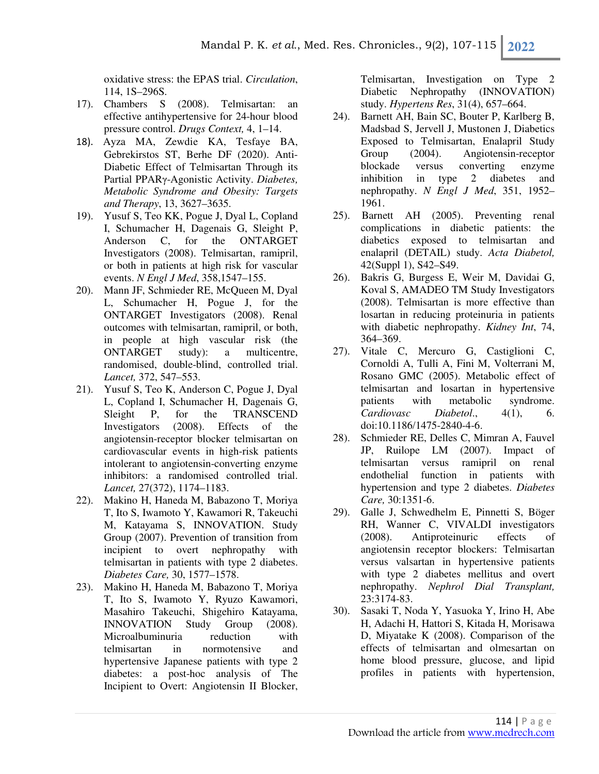oxidative stress: the EPAS trial. *Circulation*, 114, 1S–296S.

- 17). Chambers S (2008). Telmisartan: an effective antihypertensive for 24-hour blood pressure control. *Drugs Context,* 4, 1–14.
- 18). Ayza MA, Zewdie KA, Tesfaye BA, Gebrekirstos ST, Berhe DF (2020). Anti-Diabetic Effect of Telmisartan Through its Partial PPARγ-Agonistic Activity. *Diabetes, Metabolic Syndrome and Obesity: Targets and Therapy*, 13, 3627–3635.
- 19). Yusuf S, Teo KK, Pogue J, Dyal L, Copland I, Schumacher H, Dagenais G, Sleight P, Anderson C, for the ONTARGET Investigators (2008). Telmisartan, ramipril, or both in patients at high risk for vascular events. *N Engl J Med*, 358,1547–155.
- 20). Mann JF, Schmieder RE, McQueen M, Dyal L, Schumacher H, Pogue J, for the ONTARGET Investigators (2008). Renal outcomes with telmisartan, ramipril, or both, in people at high vascular risk (the ONTARGET study): a multicentre, randomised, double-blind, controlled trial. *Lancet,* 372, 547–553.
- 21). Yusuf S, Teo K, Anderson C, Pogue J, Dyal L, Copland I, Schumacher H, Dagenais G, Sleight P, for the TRANSCEND Investigators (2008). Effects of the angiotensin-receptor blocker telmisartan on cardiovascular events in high-risk patients intolerant to angiotensin-converting enzyme inhibitors: a randomised controlled trial. *Lancet,* 27(372), 1174–1183.
- 22). Makino H, Haneda M, Babazono T, Moriya T, Ito S, Iwamoto Y, Kawamori R, Takeuchi M, Katayama S, INNOVATION. Study Group (2007). Prevention of transition from incipient to overt nephropathy with telmisartan in patients with type 2 diabetes. *Diabetes Care,* 30, 1577–1578.
- 23). Makino H, Haneda M, Babazono T, Moriya T, Ito S, Iwamoto Y, Ryuzo Kawamori, Masahiro Takeuchi, Shigehiro Katayama, INNOVATION Study Group (2008). Microalbuminuria reduction with telmisartan in normotensive and hypertensive Japanese patients with type 2 diabetes: a post-hoc analysis of The Incipient to Overt: Angiotensin II Blocker,

Telmisartan, Investigation on Type 2 Diabetic Nephropathy (INNOVATION) study. *Hypertens Res*, 31(4), 657–664.

- 24). Barnett AH, Bain SC, Bouter P, Karlberg B, Madsbad S, Jervell J, Mustonen J, Diabetics Exposed to Telmisartan, Enalapril Study Group (2004). Angiotensin-receptor blockade versus converting enzyme inhibition in type 2 diabetes and nephropathy. *N Engl J Med*, 351, 1952– 1961.
- 25). Barnett AH (2005). Preventing renal complications in diabetic patients: the diabetics exposed to telmisartan and enalapril (DETAIL) study. *Acta Diabetol,* 42(Suppl 1), S42–S49.
- 26). Bakris G, Burgess E, Weir M, Davidai G, Koval S, AMADEO TM Study Investigators (2008). Telmisartan is more effective than losartan in reducing proteinuria in patients with diabetic nephropathy. *Kidney Int*, 74, 364–369.
- 27). Vitale C, Mercuro G, Castiglioni C, Cornoldi A, Tulli A, Fini M, Volterrani M, Rosano GMC (2005). Metabolic effect of telmisartan and losartan in hypertensive patients with metabolic syndrome. *Cardiovasc Diabetol*., 4(1), 6. doi:10.1186/1475-2840-4-6.
- 28). Schmieder RE, Delles C, Mimran A, Fauvel JP, Ruilope LM (2007). Impact of telmisartan versus ramipril on renal endothelial function in patients with hypertension and type 2 diabetes. *Diabetes Care,* 30:1351-6.
- 29). Galle J, Schwedhelm E, Pinnetti S, Böger RH, Wanner C, VIVALDI investigators (2008). Antiproteinuric effects of angiotensin receptor blockers: Telmisartan versus valsartan in hypertensive patients with type 2 diabetes mellitus and overt nephropathy. *Nephrol Dial Transplant,* 23:3174-83.
- 30). Sasaki T, Noda Y, Yasuoka Y, Irino H, Abe H, Adachi H, Hattori S, Kitada H, Morisawa D, Miyatake K (2008). Comparison of the effects of telmisartan and olmesartan on home blood pressure, glucose, and lipid profiles in patients with hypertension,